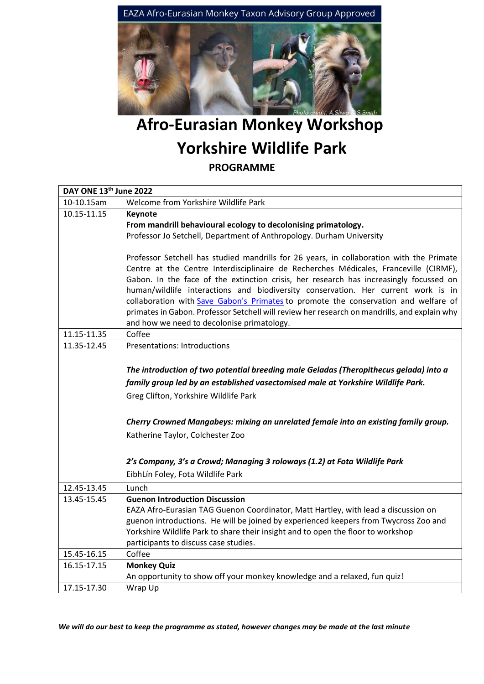

## **Afro-Eurasian Monkey Workshop Yorkshire Wildlife Park PROGRAMME**

| DAY ONE 13th June 2022 |                                                                                              |  |
|------------------------|----------------------------------------------------------------------------------------------|--|
| 10-10.15am             | Welcome from Yorkshire Wildlife Park                                                         |  |
| 10.15-11.15            | Keynote                                                                                      |  |
|                        | From mandrill behavioural ecology to decolonising primatology.                               |  |
|                        | Professor Jo Setchell, Department of Anthropology. Durham University                         |  |
|                        |                                                                                              |  |
|                        | Professor Setchell has studied mandrills for 26 years, in collaboration with the Primate     |  |
|                        | Centre at the Centre Interdisciplinaire de Recherches Médicales, Franceville (CIRMF),        |  |
|                        | Gabon. In the face of the extinction crisis, her research has increasingly focussed on       |  |
|                        | human/wildlife interactions and biodiversity conservation. Her current work is in            |  |
|                        | collaboration with Save Gabon's Primates to promote the conservation and welfare of          |  |
|                        | primates in Gabon. Professor Setchell will review her research on mandrills, and explain why |  |
|                        | and how we need to decolonise primatology.                                                   |  |
| 11.15-11.35            | Coffee                                                                                       |  |
| 11.35-12.45            | <b>Presentations: Introductions</b>                                                          |  |
|                        |                                                                                              |  |
|                        | The introduction of two potential breeding male Geladas (Theropithecus gelada) into a        |  |
|                        | family group led by an established vasectomised male at Yorkshire Wildlife Park.             |  |
|                        | Greg Clifton, Yorkshire Wildlife Park                                                        |  |
|                        |                                                                                              |  |
|                        | Cherry Crowned Mangabeys: mixing an unrelated female into an existing family group.          |  |
|                        | Katherine Taylor, Colchester Zoo                                                             |  |
|                        |                                                                                              |  |
|                        |                                                                                              |  |
|                        | 2's Company, 3's a Crowd; Managing 3 roloways (1.2) at Fota Wildlife Park                    |  |
|                        | EibhLín Foley, Fota Wildlife Park                                                            |  |
| 12.45-13.45            | Lunch                                                                                        |  |
| 13.45-15.45            | <b>Guenon Introduction Discussion</b>                                                        |  |
|                        | EAZA Afro-Eurasian TAG Guenon Coordinator, Matt Hartley, with lead a discussion on           |  |
|                        | guenon introductions. He will be joined by experienced keepers from Twycross Zoo and         |  |
|                        | Yorkshire Wildlife Park to share their insight and to open the floor to workshop             |  |
|                        | participants to discuss case studies.                                                        |  |
| 15.45-16.15            | Coffee                                                                                       |  |
| 16.15-17.15            | <b>Monkey Quiz</b>                                                                           |  |
|                        | An opportunity to show off your monkey knowledge and a relaxed, fun quiz!                    |  |
| 17.15-17.30            | Wrap Up                                                                                      |  |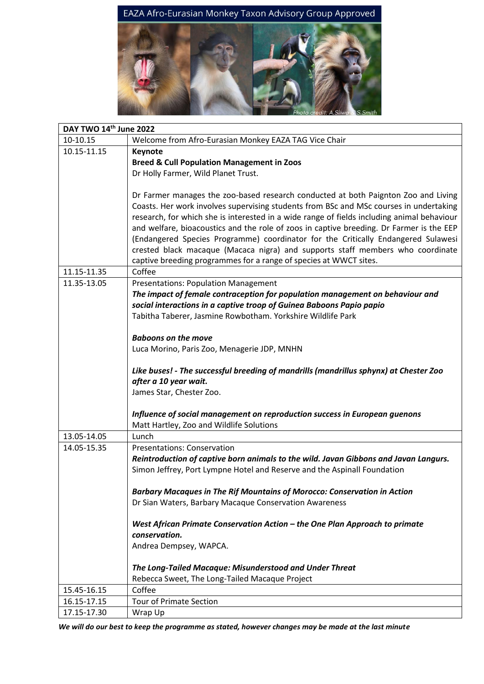

| DAY TWO 14th June 2022 |                                                                                            |
|------------------------|--------------------------------------------------------------------------------------------|
| 10-10.15               | Welcome from Afro-Eurasian Monkey EAZA TAG Vice Chair                                      |
| 10.15-11.15            | <b>Keynote</b>                                                                             |
|                        | <b>Breed &amp; Cull Population Management in Zoos</b>                                      |
|                        | Dr Holly Farmer, Wild Planet Trust.                                                        |
|                        |                                                                                            |
|                        | Dr Farmer manages the zoo-based research conducted at both Paignton Zoo and Living         |
|                        | Coasts. Her work involves supervising students from BSc and MSc courses in undertaking     |
|                        | research, for which she is interested in a wide range of fields including animal behaviour |
|                        | and welfare, bioacoustics and the role of zoos in captive breeding. Dr Farmer is the EEP   |
|                        | (Endangered Species Programme) coordinator for the Critically Endangered Sulawesi          |
|                        | crested black macaque (Macaca nigra) and supports staff members who coordinate             |
|                        | captive breeding programmes for a range of species at WWCT sites.                          |
| 11.15-11.35            | Coffee                                                                                     |
| 11.35-13.05            | <b>Presentations: Population Management</b>                                                |
|                        | The impact of female contraception for population management on behaviour and              |
|                        | social interactions in a captive troop of Guinea Baboons Papio papio                       |
|                        | Tabitha Taberer, Jasmine Rowbotham. Yorkshire Wildlife Park                                |
|                        |                                                                                            |
|                        | <b>Baboons on the move</b>                                                                 |
|                        | Luca Morino, Paris Zoo, Menagerie JDP, MNHN                                                |
|                        |                                                                                            |
|                        | Like buses! - The successful breeding of mandrills (mandrillus sphynx) at Chester Zoo      |
|                        | after a 10 year wait.                                                                      |
|                        | James Star, Chester Zoo.                                                                   |
|                        |                                                                                            |
|                        | Influence of social management on reproduction success in European guenons                 |
|                        | Matt Hartley, Zoo and Wildlife Solutions                                                   |
| 13.05-14.05            | Lunch                                                                                      |
| 14.05-15.35            | <b>Presentations: Conservation</b>                                                         |
|                        | Reintroduction of captive born animals to the wild. Javan Gibbons and Javan Langurs.       |
|                        | Simon Jeffrey, Port Lympne Hotel and Reserve and the Aspinall Foundation                   |
|                        |                                                                                            |
|                        | <b>Barbary Macaques in The Rif Mountains of Morocco: Conservation in Action</b>            |
|                        | Dr Sian Waters, Barbary Macaque Conservation Awareness                                     |
|                        | West African Primate Conservation Action - the One Plan Approach to primate                |
|                        | conservation.                                                                              |
|                        | Andrea Dempsey, WAPCA.                                                                     |
|                        |                                                                                            |
|                        | The Long-Tailed Macaque: Misunderstood and Under Threat                                    |
|                        | Rebecca Sweet, The Long-Tailed Macaque Project                                             |
| 15.45-16.15            | Coffee                                                                                     |
| 16.15-17.15            | <b>Tour of Primate Section</b>                                                             |
| 17.15-17.30            | Wrap Up                                                                                    |

*We will do our best to keep the programme as stated, however changes may be made at the last minute*